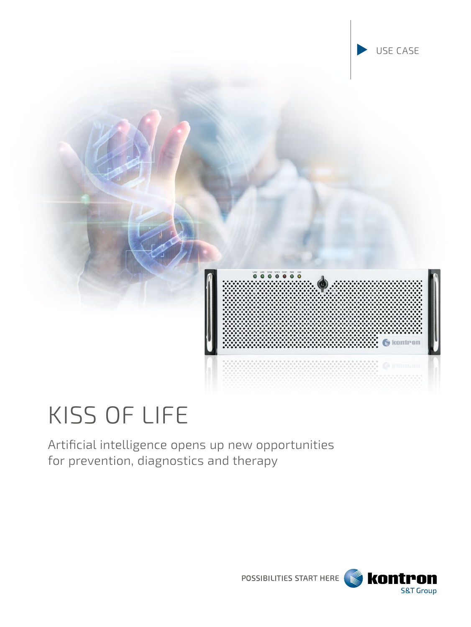

# KISS OF LIFE

Artificial intelligence opens up new opportunities for prevention, diagnostics and therapy

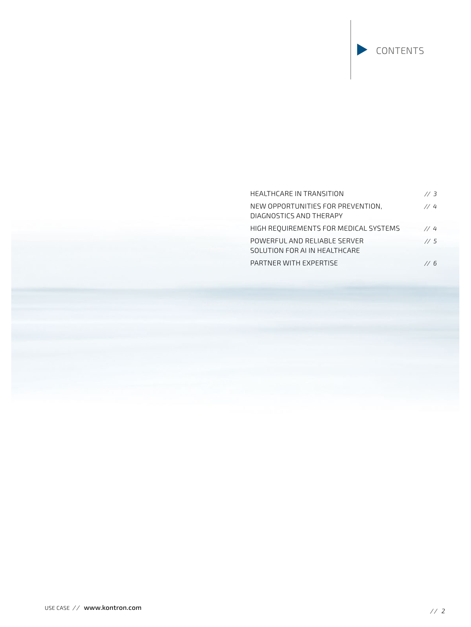# HEALTHCARE IN TRANSITION *// 3* NEW OPPORTUNITIES FOR PREVENTION, *// 4*  DIAGNOSTICS AND THERAPY HIGH REQUIREMENTS FOR MEDICAL SYSTEMS *// 4* POWERFUL AND RELIABLE SERVER *// 5*  SOLUTION FOR AI IN HEALTHCARE PARTNER WITH EXPERTISE *// 6*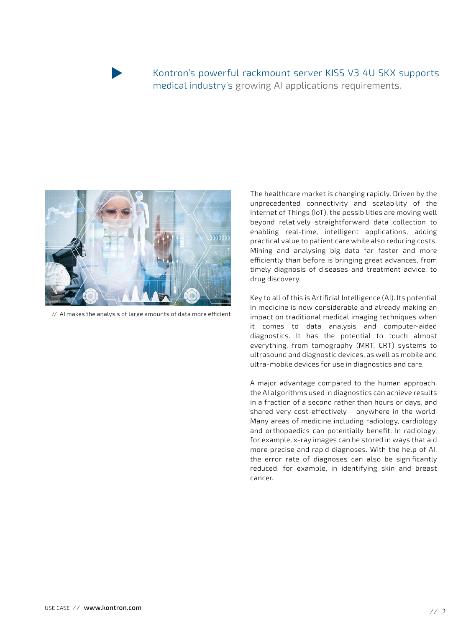# Kontron's powerful rackmount server KISS V3 4U SKX supports medical industry's growing AI applications requirements.



// AI makes the analysis of large amounts of data more efficient

The healthcare market is changing rapidly. Driven by the unprecedented connectivity and scalability of the Internet of Things (IoT), the possibilities are moving well beyond relatively straightforward data collection to enabling real-time, intelligent applications, adding practical value to patient care while also reducing costs. Mining and analysing big data far faster and more efficiently than before is bringing great advances, from timely diagnosis of diseases and treatment advice, to drug discovery.

Key to all of this is Artificial Intelligence (AI). Its potential in medicine is now considerable and already making an impact on traditional medical imaging techniques when it comes to data analysis and computer-aided diagnostics. It has the potential to touch almost everything, from tomography (MRT, CRT) systems to ultrasound and diagnostic devices, as well as mobile and ultra-mobile devices for use in diagnostics and care.

A major advantage compared to the human approach, the AI algorithms used in diagnostics can achieve results in a fraction of a second rather than hours or days, and shared very cost-effectively - anywhere in the world. Many areas of medicine including radiology, cardiology and orthopaedics can potentially benefit. In radiology, for example, x-ray images can be stored in ways that aid more precise and rapid diagnoses. With the help of AI, the error rate of diagnoses can also be significantly reduced, for example, in identifying skin and breast cancer.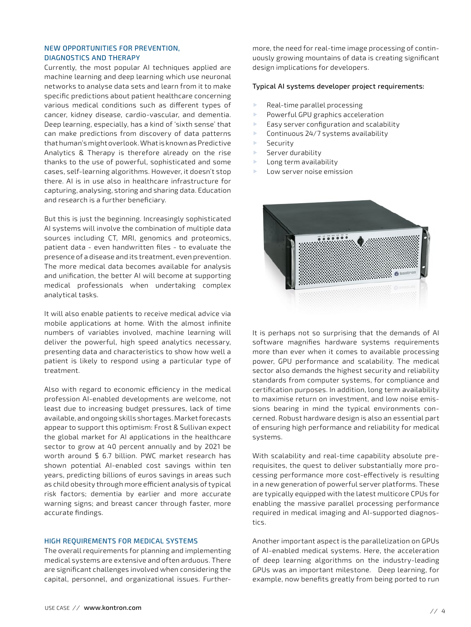#### NEW OPPORTUNITIES FOR PREVENTION, DIAGNOSTICS AND THERAPY

Currently, the most popular AI techniques applied are machine learning and deep learning which use neuronal networks to analyse data sets and learn from it to make specific predictions about patient healthcare concerning various medical conditions such as different types of cancer, kidney disease, cardio-vascular, and dementia. Deep learning, especially, has a kind of 'sixth sense' that can make predictions from discovery of data patterns that human's might overlook. What is known as Predictive Analytics & Therapy is therefore already on the rise thanks to the use of powerful, sophisticated and some cases, self-learning algorithms. However, it doesn't stop there. AI is in use also in healthcare infrastructure for capturing, analysing, storing and sharing data. Education and research is a further beneficiary.

But this is just the beginning. Increasingly sophisticated AI systems will involve the combination of multiple data sources including CT, MRI, genomics and proteomics, patient data - even handwritten files - to evaluate the presence of a disease and its treatment, even prevention. The more medical data becomes available for analysis and unification, the better AI will become at supporting medical professionals when undertaking complex analytical tasks.

It will also enable patients to receive medical advice via mobile applications at home. With the almost infinite numbers of variables involved, machine learning will deliver the powerful, high speed analytics necessary, presenting data and characteristics to show how well a patient is likely to respond using a particular type of treatment.

Also with regard to economic efficiency in the medical profession AI-enabled developments are welcome, not least due to increasing budget pressures, lack of time available, and ongoing skills shortages. Market forecasts appear to support this optimism: Frost & Sullivan expect the global market for AI applications in the healthcare sector to grow at 40 percent annually and by 2021 be worth around \$ 6.7 billion. PWC market research has shown potential AI-enabled cost savings within ten years, predicting billions of euros savings in areas such as child obesity through more efficient analysis of typical risk factors; dementia by earlier and more accurate warning signs; and breast cancer through faster, more accurate findings.

#### HIGH REQUIREMENTS FOR MEDICAL SYSTEMS

The overall requirements for planning and implementing medical systems are extensive and often arduous. There are significant challenges involved when considering the capital, personnel, and organizational issues. Further-

more, the need for real-time image processing of continuously growing mountains of data is creating significant design implications for developers.

#### Typical AI systems developer project requirements:

- Real-time parallel processing
- Powerful GPU graphics acceleration
- Easy server configuration and scalability
- Continuous 24/7 systems availability
- **Security**
- Server durability
- **Long term availability**
- Low server noise emission



It is perhaps not so surprising that the demands of AI software magnifies hardware systems requirements more than ever when it comes to available processing power, GPU performance and scalability. The medical sector also demands the highest security and reliability standards from computer systems, for compliance and certification purposes. In addition, long term availability to maximise return on investment, and low noise emissions bearing in mind the typical environments concerned. Robust hardware design is also an essential part of ensuring high performance and reliability for medical systems.

With scalability and real-time capability absolute prerequisites, the quest to deliver substantially more processing performance more cost-effectively is resulting in a new generation of powerful server platforms. These are typically equipped with the latest multicore CPUs for enabling the massive parallel processing performance required in medical imaging and AI-supported diagnostics.

Another important aspect is the parallelization on GPUs of AI-enabled medical systems. Here, the acceleration of deep learning algorithms on the industry-leading GPUs was an important milestone. Deep learning, for example, now benefits greatly from being ported to run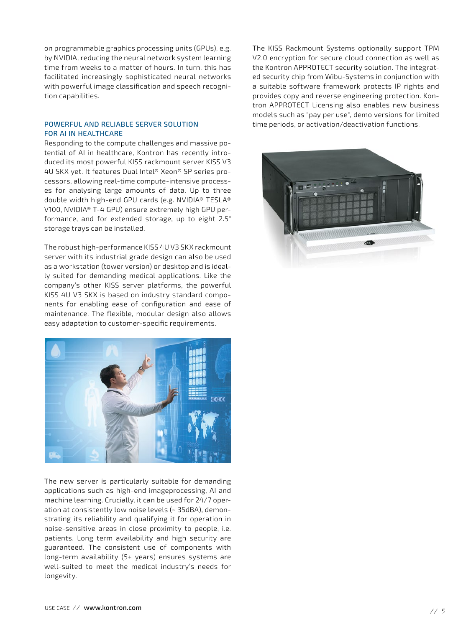on programmable graphics processing units (GPUs), e.g. by NVIDIA, reducing the neural network system learning time from weeks to a matter of hours. In turn, this has facilitated increasingly sophisticated neural networks with powerful image classification and speech recognition capabilities.

#### POWERFUL AND RELIABLE SERVER SOLUTION FOR AI IN HEALTHCARE

Responding to the compute challenges and massive potential of AI in healthcare, Kontron has recently introduced its most powerful KISS rackmount server KISS V3 4U SKX yet. It features Dual Intel® Xeon® SP series processors, allowing real-time compute-intensive processes for analysing large amounts of data. Up to three double width high-end GPU cards (e.g. NVIDIA® TESLA® V100, NVIDIA® T-4 GPU) ensure extremely high GPU performance, and for extended storage, up to eight 2.5" storage trays can be installed.

The robust high-performance KISS 4U V3 SKX rackmount server with its industrial grade design can also be used as a workstation (tower version) or desktop and is ideally suited for demanding medical applications. Like the company's other KISS server platforms, the powerful KISS 4U V3 SKX is based on industry standard components for enabling ease of configuration and ease of maintenance. The flexible, modular design also allows easy adaptation to customer-specific requirements.



The new server is particularly suitable for demanding applications such as high-end imageprocessing, AI and machine learning. Crucially, it can be used for 24/7 operation at consistently low noise levels (~ 35dBA), demonstrating its reliability and qualifying it for operation in noise-sensitive areas in close proximity to people, i.e. patients. Long term availability and high security are guaranteed. The consistent use of components with long-term availability (5+ years) ensures systems are well-suited to meet the medical industry's needs for longevity.

The KISS Rackmount Systems optionally support TPM V2.0 encryption for secure cloud connection as well as the Kontron APPROTECT security solution. The integrated security chip from Wibu-Systems in conjunction with a suitable software framework protects IP rights and provides copy and reverse engineering protection. Kontron APPROTECT Licensing also enables new business models such as "pay per use", demo versions for limited time periods, or activation/deactivation functions.

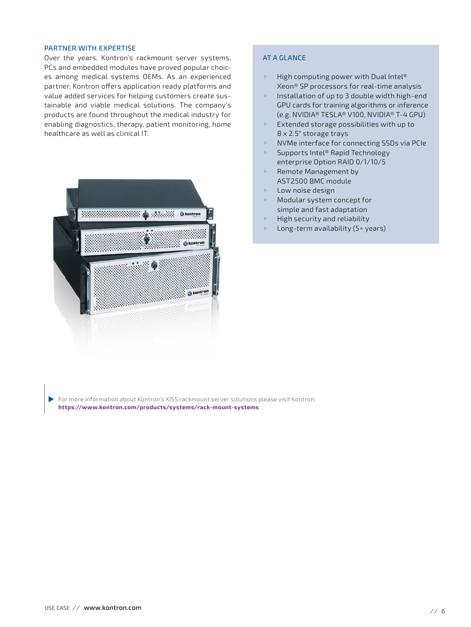#### PARTNER WITH EXPERTISE

Over the years, Kontron's rackmount server systems, PCs and embedded modules have proved popular choices among medical systems OEMs. As an experienced partner, Kontron offers application ready platforms and value added services for helping customers create sustainable and viable medical solutions. The company's products are found throughout the medical industry for enabling diagnostics, therapy, patient monitoring, home healthcare as well as clinical IT.



### AT A GLANCE

- $\blacktriangleright$  High computing power with Dual Intel® Xeon® SP processors for real-time analysis
- ▶ Installation of up to 3 double width high-end GPU cards for training algorithms or inference (e.g. NVIDIA® TESLA® V100, NVIDIA® T-4 GPU)
- Extended storage possibilities with up to 8 x 2.5" storage trays
- ▶ NVMe interface for connecting SSDs via PCIe
- ▶ Supports Intel® Rapid Technology enterprise Option RAID 0/1/10/5
- Remote Management by AST2500 BMC module
- Low noise design
- Modular system concept for simple and fast adaptation
- High security and reliability
- Long-term availability (5+ years)

ь [For more information about Kontron's KISS rackmount server solutions please visit Kontron:](https://www.kontron.com/products/systems/rack-mount-systems) **<https://www.kontron.com/products/systems/rack-mount-systems>**